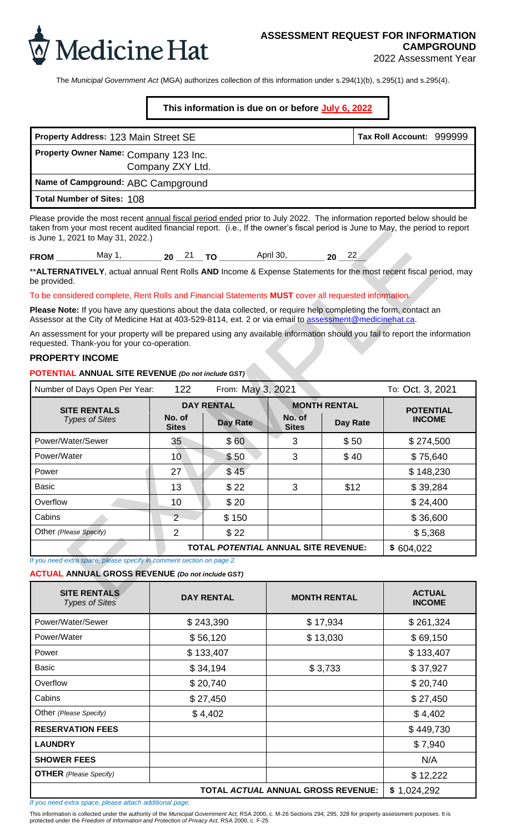

The *Municipal Government Act* (MGA) authorizes collection of this information under s.294(1)(b), s.295(1) and s.295(4).

**This information is due on or before July 6, 2022**

| Property Address: 123 Main Street SE                      | Tax Roll Account: 999999 |  |
|-----------------------------------------------------------|--------------------------|--|
| Property Owner Name: Company 123 Inc.<br>Company ZXY Ltd. |                          |  |
| Name of Campground: ABC Campground                        |                          |  |
| Total Number of Sites: 108                                |                          |  |

| $   -$<br>- 1 | $\sim$ | п.<br>. . | $ -$ |  |  | . . | --- |  |
|---------------|--------|-----------|------|--|--|-----|-----|--|
|---------------|--------|-----------|------|--|--|-----|-----|--|

### **PROPERTY INCOME**

| Property Address: 123 Main Street SE                                                                                                                                                                                                                                                          |                        |                                      |                        |                     | Tax Roll Account: 999999          |
|-----------------------------------------------------------------------------------------------------------------------------------------------------------------------------------------------------------------------------------------------------------------------------------------------|------------------------|--------------------------------------|------------------------|---------------------|-----------------------------------|
| Property Owner Name: Company 123 Inc.                                                                                                                                                                                                                                                         | Company ZXY Ltd.       |                                      |                        |                     |                                   |
| Name of Campground: ABC Campground                                                                                                                                                                                                                                                            |                        |                                      |                        |                     |                                   |
| Total Number of Sites: 108                                                                                                                                                                                                                                                                    |                        |                                      |                        |                     |                                   |
| Please provide the most recent annual fiscal period ended prior to July 2022. The information reported below should be<br>taken from your most recent audited financial report. (i.e., If the owner's fiscal period is June to May, the period to report<br>is June 1, 2021 to May 31, 2022.) |                        |                                      |                        |                     |                                   |
| FROM _________ May 1, _________ 20 __ 21 __ TO __________ April 30, ________ 20 __ 22                                                                                                                                                                                                         |                        |                                      |                        |                     |                                   |
| **ALTERNATIVELY, actual annual Rent Rolls AND Income & Expense Statements for the most recent fiscal period, may<br>be provided.                                                                                                                                                              |                        |                                      |                        |                     |                                   |
| To be considered complete, Rent Rolls and Financial Statements MUST cover all requested information.                                                                                                                                                                                          |                        |                                      |                        |                     |                                   |
| Please Note: If you have any questions about the data collected, or require help completing the form, contact an<br>Assessor at the City of Medicine Hat at 403-529-8114, ext. 2 or via email to assessment@medicinehat.ca.                                                                   |                        |                                      |                        |                     |                                   |
| An assessment for your property will be prepared using any available information should you fail to report the information                                                                                                                                                                    |                        |                                      |                        |                     |                                   |
| requested. Thank-you for your co-operation.<br><b>PROPERTY INCOME</b>                                                                                                                                                                                                                         |                        |                                      |                        |                     |                                   |
| POTENTIAL ANNUAL SITE REVENUE (Do not include GST)                                                                                                                                                                                                                                            |                        |                                      |                        |                     |                                   |
| Number of Days Open Per Year:                                                                                                                                                                                                                                                                 | 122                    | From: May 3, 2021                    |                        |                     | To: Oct. 3, 2021                  |
|                                                                                                                                                                                                                                                                                               |                        | <b>DAY RENTAL</b>                    |                        | <b>MONTH RENTAL</b> |                                   |
| <b>SITE RENTALS</b><br><b>Types of Sites</b>                                                                                                                                                                                                                                                  | No. of<br><b>Sites</b> | Day Rate                             | No. of<br><b>Sites</b> | Day Rate            | <b>POTENTIAL</b><br><b>INCOME</b> |
| Power/Water/Sewer                                                                                                                                                                                                                                                                             | 35                     | \$60                                 | 3                      | \$50                | \$274,500                         |
| Power/Water                                                                                                                                                                                                                                                                                   | 10                     | \$50                                 | 3                      | \$40                | \$75,640                          |
| Power                                                                                                                                                                                                                                                                                         | 27                     | \$45                                 |                        |                     | \$148,230                         |
| <b>Basic</b>                                                                                                                                                                                                                                                                                  | 13                     | \$22                                 | 3                      | \$12                | \$39,284                          |
| Overflow                                                                                                                                                                                                                                                                                      | 10                     | \$20                                 |                        |                     | \$24,400                          |
| Cabins                                                                                                                                                                                                                                                                                        | $\overline{2}$         | \$150                                |                        |                     | \$36,600                          |
| Other (Please Specify)                                                                                                                                                                                                                                                                        | $\overline{2}$         | \$22                                 |                        |                     | \$5,368                           |
|                                                                                                                                                                                                                                                                                               |                        | TOTAL POTENTIAL ANNUAL SITE REVENUE: |                        |                     | \$604,022                         |
| If you need extra space, please specify in comment section on page 2.                                                                                                                                                                                                                         |                        |                                      |                        |                     |                                   |
| <b>ACTUAL ANNUAL GROSS REVENUE (Do not include GST)</b>                                                                                                                                                                                                                                       |                        |                                      |                        |                     |                                   |
| <b>SITE RENTALS</b><br><b>Types of Sites</b>                                                                                                                                                                                                                                                  | <b>DAY RENTAL</b>      |                                      | <b>MONTH RENTAL</b>    |                     | <b>ACTUAL</b><br><b>INCOME</b>    |
| Power/Water/Sewer                                                                                                                                                                                                                                                                             | \$243,390              |                                      | \$17,934               |                     | \$261,324                         |
| Power/Water                                                                                                                                                                                                                                                                                   | \$56,120               |                                      | \$13,030               |                     | \$69,150                          |
| Power                                                                                                                                                                                                                                                                                         |                        | \$133,407                            |                        |                     | \$133,407                         |
| <b>Basic</b>                                                                                                                                                                                                                                                                                  |                        | \$34,194                             | \$3,733                |                     | \$37,927                          |
| Overflow                                                                                                                                                                                                                                                                                      |                        | \$20,740                             |                        |                     | \$20,740                          |
| Cabins                                                                                                                                                                                                                                                                                        |                        | \$27,450                             |                        |                     | \$27,450                          |
| Other (Please Specify)                                                                                                                                                                                                                                                                        |                        | \$4,402                              |                        |                     | \$4,402                           |

| Number of Days Open Per Year:                                         | 122                    | From: May 3, 2021                    |                        |                     | To: Oct. 3, 2021               |  |
|-----------------------------------------------------------------------|------------------------|--------------------------------------|------------------------|---------------------|--------------------------------|--|
| <b>SITE RENTALS</b>                                                   |                        | <b>DAY RENTAL</b>                    |                        | <b>MONTH RENTAL</b> | <b>POTENTIAL</b>               |  |
| <b>Types of Sites</b>                                                 | No. of<br><b>Sites</b> | Day Rate                             | No. of<br><b>Sites</b> | Day Rate            | <b>INCOME</b>                  |  |
| Power/Water/Sewer                                                     | 35                     | \$60                                 | 3                      | \$50                | \$274,500                      |  |
| Power/Water                                                           | 10                     | \$50                                 | 3                      | \$40                | \$75,640                       |  |
| Power                                                                 | 27                     | \$45                                 |                        |                     | \$148,230                      |  |
| <b>Basic</b>                                                          | 13                     | \$22                                 | 3                      | \$12                | \$39,284                       |  |
| Overflow                                                              | 10                     | \$20                                 |                        |                     | \$24,400                       |  |
| Cabins                                                                | $\overline{2}$         | \$150                                |                        |                     | \$36,600                       |  |
| Other (Please Specify)                                                | $\overline{2}$         | \$22                                 |                        |                     | \$5,368                        |  |
|                                                                       |                        | TOTAL POTENTIAL ANNUAL SITE REVENUE: |                        |                     | \$604,022                      |  |
| If you need extra space, please specify in comment section on page 2. |                        |                                      |                        |                     |                                |  |
| <b>ACTUAL ANNUAL GROSS REVENUE (Do not include GST)</b>               |                        |                                      |                        |                     |                                |  |
| <b>SITE RENTALS</b><br><b>Types of Sites</b>                          | <b>DAY RENTAL</b>      |                                      |                        | <b>MONTH RENTAL</b> | <b>ACTUAL</b><br><b>INCOME</b> |  |
| Power/Water/Sewer                                                     |                        | \$243,390                            | \$17,934               |                     | \$261,324                      |  |
| Power/Water                                                           |                        | \$56,120                             | \$13,030               |                     | \$69,150                       |  |
| Power                                                                 |                        | \$133,407                            |                        |                     | \$133,407                      |  |
| <b>Basic</b>                                                          |                        | \$34,194                             | \$3,733                |                     | \$37,927                       |  |
| Overflow                                                              |                        | \$20,740                             |                        |                     | \$20,740                       |  |
| Cabins                                                                |                        | \$27,450                             |                        |                     | \$27,450                       |  |
| Other (Please Specify)                                                |                        | \$4,402                              |                        |                     | \$4,402                        |  |
| <b>RESERVATION FEES</b>                                               |                        |                                      |                        |                     | \$449,730                      |  |
| <b>LAUNDRY</b>                                                        |                        |                                      |                        |                     | \$7,940                        |  |
| <b>SHOWER FEES</b>                                                    |                        |                                      |                        |                     | N/A                            |  |
| <b>OTHER</b> (Please Specify)                                         |                        |                                      |                        |                     | \$12,222                       |  |
|                                                                       |                        | TOTAL ACTUAL ANNUAL GROSS REVENUE:   |                        |                     | \$1,024,292                    |  |

*If you need extra space, please attach additional page.*

This information is collected under the authority of the *Municipal Government Act,* RSA 2000, c. M-26 Sections 294, 295, 328 for property assessment purposes. It is protected under the *Freedom of Information and Protection of Privacy Act,* RSA 2000, c. F-25